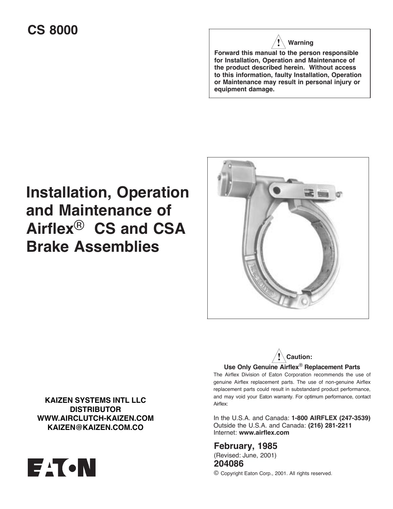# **CS 8000**

# **Warning**

**Forward this manual to the person responsible for Installation, Operation and Maintenance of the product described herein. Without access to this information, faulty Installation, Operation or Maintenance may result in personal injury or equipment damage.**

# **Installation, Operation and Maintenance of Airflex**® **CS and CSA Brake Assemblies**





The Airflex Division of Eaton Corporation recommends the use of genuine Airflex replacement parts. The use of non-genuine Airflex replacement parts could result in substandard product performance, and may void your Eaton warranty. For optimum performance, contact Airflex:

In the U.S.A. and Canada: **1-800 AIRFLEX (247-3539)** Outside the U.S.A. and Canada: **(216) 281-2211** Internet: **www.airflex.com**

**February, 1985** (Revised: June, 2001) **204086**

© Copyright Eaton Corp., 2001. All rights reserved.

**KAIZEN SYSTEMS INTL LLC DISTRIBUTOR WWW.AIRCLUTCH-KAIZEN.COM KAIZEN@KAIZEN.COM.CO**

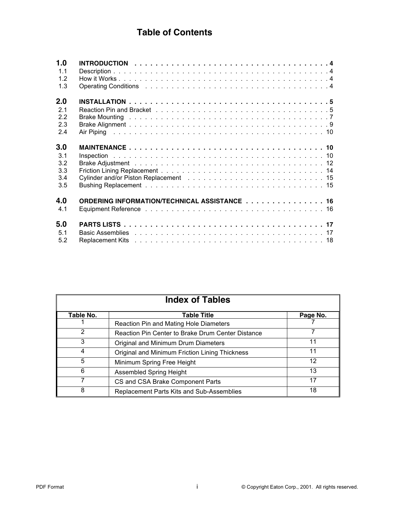# **Table of Contents**

| 1.0 |                                                                                                                                                                                                                               |
|-----|-------------------------------------------------------------------------------------------------------------------------------------------------------------------------------------------------------------------------------|
| 1.1 |                                                                                                                                                                                                                               |
| 1.2 |                                                                                                                                                                                                                               |
| 1.3 |                                                                                                                                                                                                                               |
| 2.0 |                                                                                                                                                                                                                               |
| 2.1 |                                                                                                                                                                                                                               |
| 2.2 |                                                                                                                                                                                                                               |
| 2.3 |                                                                                                                                                                                                                               |
| 2.4 |                                                                                                                                                                                                                               |
| 3.0 |                                                                                                                                                                                                                               |
| 3.1 |                                                                                                                                                                                                                               |
| 3.2 |                                                                                                                                                                                                                               |
| 3.3 |                                                                                                                                                                                                                               |
| 3.4 |                                                                                                                                                                                                                               |
| 3.5 |                                                                                                                                                                                                                               |
| 4.0 | ORDERING INFORMATION/TECHNICAL ASSISTANCE 16                                                                                                                                                                                  |
| 4.1 |                                                                                                                                                                                                                               |
| 5.0 |                                                                                                                                                                                                                               |
| 5.1 | Basic Assemblies et al., and a service of the service of the service of the service of the service of the service of the service of the service of the service of the service of the service of the service of the service of |
| 5.2 |                                                                                                                                                                                                                               |

| <b>Index of Tables</b> |                                                   |          |  |  |  |
|------------------------|---------------------------------------------------|----------|--|--|--|
| Table No.              | <b>Table Title</b>                                | Page No. |  |  |  |
|                        | Reaction Pin and Mating Hole Diameters            |          |  |  |  |
| $\mathcal{P}$          | Reaction Pin Center to Brake Drum Center Distance |          |  |  |  |
| 3                      | Original and Minimum Drum Diameters               | 11       |  |  |  |
| 4                      | Original and Minimum Friction Lining Thickness    | 11       |  |  |  |
| 5                      | Minimum Spring Free Height                        | 12       |  |  |  |
| 6                      | <b>Assembled Spring Height</b>                    | 13       |  |  |  |
| 7                      | CS and CSA Brake Component Parts                  | 17       |  |  |  |
| 8                      | Replacement Parts Kits and Sub-Assemblies         | 18       |  |  |  |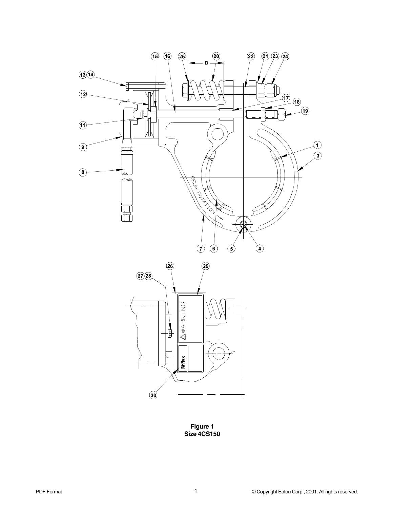

**Figure 1 Size 4CS150**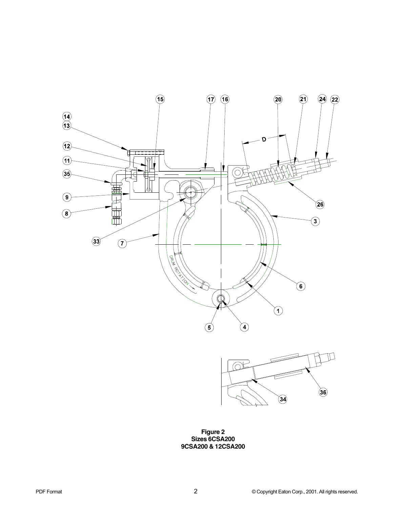



**Figure 2 Sizes 6CSA200 9CSA200 & 12CSA200**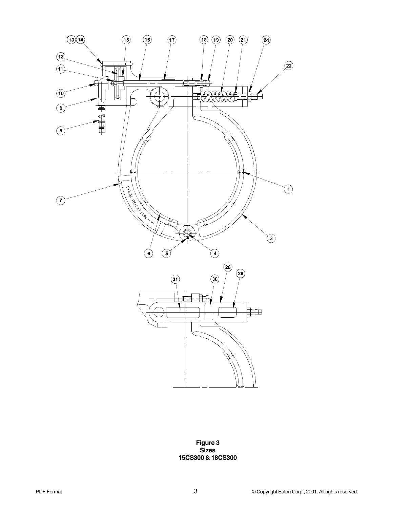

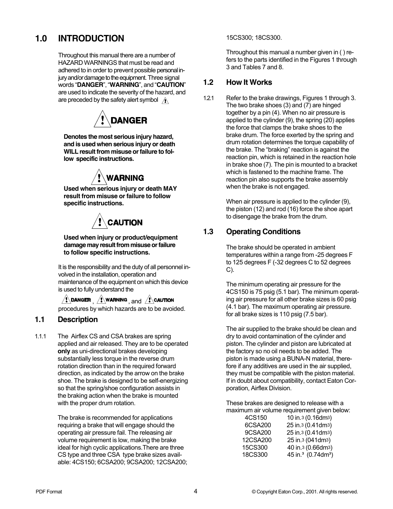# **1.0 INTRODUCTION**

Throughout this manual there are a number of HAZARD WARNINGS that must be read and adhered to in order to prevent possible personal injury and/or damage to the equipment. Three signal words "**DANGER**", "**WARNING**", and "**CAUTION**" are used to indicate the severity of the hazard, and are preceded by the safety alert symbol  $\land$ 



**Denotes the most serious injury hazard, and is used when serious injury or death WILL result from misuse or failure to follow specific instructions.**



**Used when serious injury or death MAY result from misuse or failure to follow specific instructions.**



**Used when injury or product/equipment damage may result from misuse or failure to follow specific instructions.**

It is the responsibility and the duty of all personnel involved in the installation, operation and maintenance of the equipment on which this device is used to fully understand the

 $\bigwedge^{\bullet}$ Danger  $\bigwedge^{\bullet}$  warning  $\bigwedge^{\bullet}$  and  $\bigwedge^{\bullet}$  caution procedures by which hazards are to be avoided.

#### **1.1 Description**

1.1.1 The Airflex CS and CSA brakes are spring applied and air released. They are to be operated **only** as uni-directional brakes developing substantially less torque in the reverse drum rotation direction than in the required forward direction, as indicated by the arrow on the brake shoe. The brake is designed to be self-energizing so that the spring/shoe configuration assists in the braking action when the brake is mounted with the proper drum rotation.

> The brake is recommended for applications requiring a brake that will engage should the operating air pressure fail. The releasing air volume requirement is low, making the brake ideal for high cyclic applications.There are three CS type and three CSA type brake sizes available: 4CS150; 6CSA200; 9CSA200; 12CSA200;

15CS300; 18CS300.

Throughout this manual a number given in ( ) refers to the parts identified in the Figures 1 through 3 and Tables 7 and 8.

#### **1.2 How It Works**

1.2.1 Refer to the brake drawings, Figures 1 through 3. The two brake shoes (3) and (7) are hinged together by a pin (4). When no air pressure is applied to the cylinder (9), the spring (20) applies the force that clamps the brake shoes to the brake drum. The force exerted by the spring and drum rotation determines the torque capability of the brake. The "braking" reaction is against the reaction pin, which is retained in the reaction hole in brake shoe (7). The pin is mounted to a bracket which is fastened to the machine frame. The reaction pin also supports the brake assembly when the brake is not engaged.

> When air pressure is applied to the cylinder (9), the piston (12) and rod (16) force the shoe apart to disengage the brake from the drum.

## **1.3 Operating Conditions**

The brake should be operated in ambient temperatures within a range from -25 degrees F to 125 degrees F (-32 degrees C to 52 degrees C).

The minimum operating air pressure for the 4CS150 is 75 psig (5.1 bar). The minimum operating air pressure for all other brake sizes is 60 psig (4.1 bar). The maximum operating air pressure. for all brake sizes is 110 psig (7.5 bar).

The air supplied to the brake should be clean and dry to avoid contamination of the cylinder and piston. The cylinder and piston are lubricated at the factory so no oil needs to be added. The piston is made using a BUNA-N material, therefore if any additives are used in the air supplied, they must be compatible with the piston material. If in doubt about compatibility, contact Eaton Corporation, Airflex Division.

These brakes are designed to release with a maximum air volume requirement given below:

| 4CS150   | 10 in.3 (0.16dm3)                          |
|----------|--------------------------------------------|
| 6CSA200  | 25 in.3 (0.41dm3)                          |
| 9CSA200  | 25 in.3 (0.41dm3)                          |
| 12CSA200 | 25 in.3 (041dm3)                           |
| 15CS300  | 40 in.3 (0.66dm3)                          |
| 18CS300  | 45 in. <sup>3</sup> (0.74dm <sup>3</sup> ) |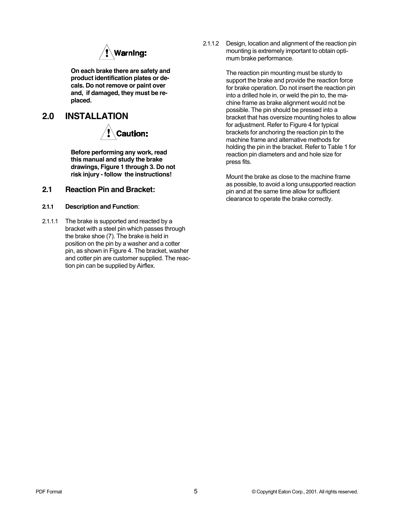

**On each brake there are safety and product identification plates or decals. Do not remove or paint over and, if damaged, they must be replaced.**

## **2.0 INSTALLATION**



**Before performing any work, read this manual and study the brake drawings, Figure 1 through 3. Do not risk injury - follow the instructions!**

#### **2.1 Reaction Pin and Bracket:**

- **2.1.1 Description and Function**:
- 2.1.1.1 The brake is supported and reacted by a bracket with a steel pin which passes through the brake shoe (7). The brake is held in position on the pin by a washer and a cotter pin, as shown in Figure 4. The bracket, washer and cotter pin are customer supplied. The reaction pin can be supplied by Airflex.

2.1.1.2 Design, location and alignment of the reaction pin mounting is extremely important to obtain optimum brake performance.

> The reaction pin mounting must be sturdy to support the brake and provide the reaction force for brake operation. Do not insert the reaction pin into a drilled hole in, or weld the pin to, the machine frame as brake alignment would not be possible. The pin should be pressed into a bracket that has oversize mounting holes to allow for adjustment. Refer to Figure 4 for typical brackets for anchoring the reaction pin to the machine frame and alternative methods for holding the pin in the bracket. Refer to Table 1 for reaction pin diameters and and hole size for press fits.

Mount the brake as close to the machine frame as possible, to avoid a long unsupported reaction pin and at the same time allow for sufficient clearance to operate the brake correctly.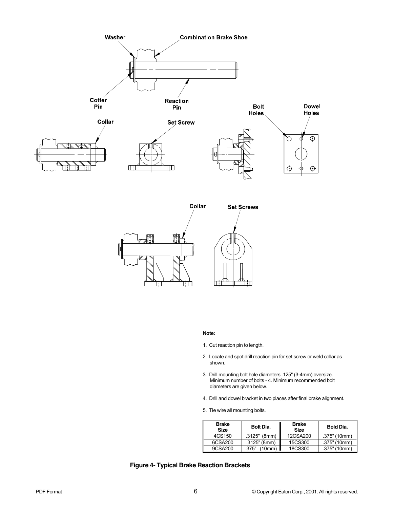



#### **Note:**

- 1. Cut reaction pin to length.
- 2. Locate and spot drill reaction pin for set screw or weld collar as shown.
- 3. Drill mounting bolt hole diameters .125" (3-4mm) oversize. Minimum number of bolts - 4. Minimum recommended bolt diameters are given below.
- 4. Drill and dowel bracket in two places after final brake alignment.
- 5. Tie wire all mounting bolts.

| <b>Brake</b><br><b>Size</b> | <b>Bolt Dia.</b> | <b>Brake</b><br><b>Size</b> | Bold Dia.    |
|-----------------------------|------------------|-----------------------------|--------------|
| 4CS150                      | $.3125"$ (8mm)   | 12CSA200                    | .375" (10mm) |
| 6CSA200                     | $.3125$ " (8mm)  | 15CS300                     | .375" (10mm) |
| 9CSA200                     | 375"<br>(10mm)   | 18CS300                     | .375" (10mm) |

#### **Figure 4- Typical Brake Reaction Brackets**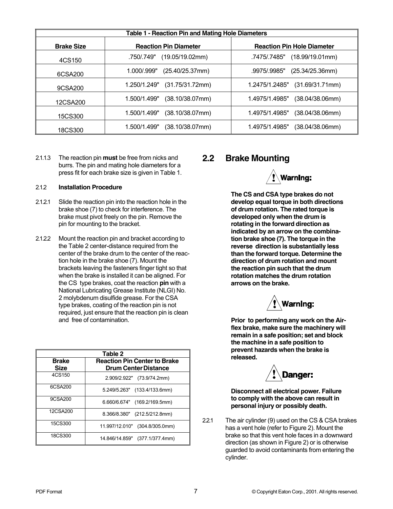|                   | Table 1 - Reaction Pin and Mating Hole Diameters |                                         |
|-------------------|--------------------------------------------------|-----------------------------------------|
| <b>Brake Size</b> | <b>Reaction Pin Diameter</b>                     | <b>Reaction Pin Hole Diameter</b>       |
| 4CS150            | (19.05/19.02mm)<br>.750/.749"                    | (18.99/19.01mm)<br>.7475/.7485"         |
| 6CSA200           | (25.40/25.37mm)<br>1.000/.999"                   | .9975/.9985"<br>(25.34/25.36mm)         |
| 9CSA200           | 1.250/1.249"<br>(31.75/31.72mm)                  | (31.69/31.71mm)<br>1.2475/1.2485"       |
| 12CSA200          | $(38.10/38.07$ mm)<br>1.500/1.499"               | (38.04/38.06mm)<br>1.4975/1.4985"       |
| 15CS300           | $(38.10/38.07$ mm)<br>1.500/1.499"               | 1.4975/1.4985"<br>(38.04/38.06mm)       |
| 18CS300           | $(38.10/38.07$ mm $)$<br>1.500/1.499"            | $(38.04/38.06$ mm $)$<br>1.4975/1.4985" |

2.1.1.3 The reaction pin **must** be free from nicks and burrs. The pin and mating hole diameters for a press fit for each brake size is given in Table 1.

#### 2.1.2 **Installation Procedure**

- 2.1.2.1 Slide the reaction pin into the reaction hole in the brake shoe (7) to check for interference. The brake must pivot freely on the pin. Remove the pin for mounting to the bracket.
- 2.1.2.2 Mount the reaction pin and bracket according to the Table 2 center-distance required from the center of the brake drum to the center of the reaction hole in the brake shoe (7). Mount the brackets leaving the fasteners finger tight so that when the brake is installed it can be aligned. For the CS type brakes, coat the reaction **pin** with a National Lubricating Grease Institute (NLGI) No. 2 molybdenum disulfide grease. For the CSA type brakes, coating of the reaction pin is not required, just ensure that the reaction pin is clean and free of contamination.

|                             | Table 2                                                            |
|-----------------------------|--------------------------------------------------------------------|
| <b>Brake</b><br><b>Size</b> | <b>Reaction Pin Center to Brake</b><br><b>Drum Center Distance</b> |
| 4CS150                      | 2.909/2.922" (73.9/74.2mm)                                         |
| 6CSA200                     | 5.249/5.263" (133.4/133.6mm)                                       |
| 9CSA200                     | 6.660/6.674" (169.2/169.5mm)                                       |
| 12CSA200                    | 8.366/8.380" (212.5/212.8mm)                                       |
| 15CS300                     | 11.997/12.010" (304.8/305.0mm)                                     |
| 18CS300                     | 14.846/14.859" (377.1/377.4mm)                                     |

### **2.2 Brake Mounting**



**The CS and CSA type brakes do not develop equal torque in both directions of drum rotation. The rated torque is developed only when the drum is rotating in the forward direction as indicated by an arrow on the combination brake shoe (7). The torque in the reverse direction is substantially less than the forward torque. Determine the direction of drum rotation and mount the reaction pin such that the drum rotation matches the drum rotation arrows on the brake.**



**Prior to performing any work on the Airflex brake, make sure the machinery will remain in a safe position; set and block the machine in a safe position to prevent hazards when the brake is released.**



**Disconnect all electrical power. Failure to comply with the above can result in personal injury or possibly death.**

2.2.1 The air cylinder (9) used on the CS & CSA brakes has a vent hole (refer to Figure 2). Mount the brake so that this vent hole faces in a downward direction (as shown in Figure 2) or is otherwise guarded to avoid contaminants from entering the cylinder.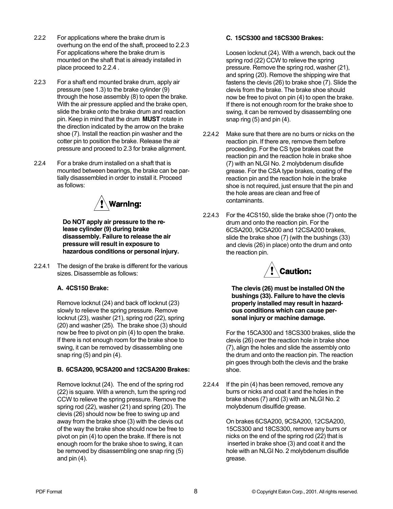- 2.2.2 For applications where the brake drum is overhung on the end of the shaft, proceed to 2.2.3 For applications where the brake drum is mounted on the shaft that is already installed in place proceed to 2.2.4 .
- 2.2.3 For a shaft end mounted brake drum, apply air pressure (see 1.3) to the brake cylinder (9) through the hose assembly (8) to open the brake. With the air pressure applied and the brake open, slide the brake onto the brake drum and reaction pin. Keep in mind that the drum **MUST** rotate in the direction indicated by the arrow on the brake shoe (7). Install the reaction pin washer and the cotter pin to position the brake. Release the air pressure and proceed to 2.3 for brake alignment.
- 2.2.4 For a brake drum installed on a shaft that is mounted between bearings, the brake can be partially disassembled in order to install it. Proceed as follows:



**Do NOT apply air pressure to the release cylinder (9) during brake disassembly. Failure to release the air pressure will result in exposure to hazardous conditions or personal injury.**

2.2.4.1 The design of the brake is different for the various sizes. Disassemble as follows:

#### **A. 4CS150 Brake:**

Remove locknut (24) and back off locknut (23) slowly to relieve the spring pressure. Remove locknut (23), washer (21), spring rod (22), spring (20) and washer (25). The brake shoe (3) should now be free to pivot on pin (4) to open the brake. If there is not enough room for the brake shoe to swing, it can be removed by disassembling one snap ring (5) and pin (4).

#### **B. 6CSA200, 9CSA200 and 12CSA200 Brakes:**

Remove locknut (24). The end of the spring rod (22) is square. With a wrench, turn the spring rod CCW to relieve the spring pressure. Remove the spring rod (22), washer (21) and spring (20). The clevis (26) should now be free to swing up and away from the brake shoe (3) with the clevis out of the way the brake shoe should now be free to pivot on pin (4) to open the brake. If there is not enough room for the brake shoe to swing, it can be removed by disassembling one snap ring (5) and pin (4).

#### **C. 15CS300 and 18CS300 Brakes:**

Loosen locknut (24). With a wrench, back out the spring rod (22) CCW to relieve the spring pressure. Remove the spring rod, washer (21), and spring (20). Remove the shipping wire that fastens the clevis (26) to brake shoe (7). Slide the clevis from the brake. The brake shoe should now be free to pivot on pin (4) to open the brake. If there is not enough room for the brake shoe to swing, it can be removed by disassembling one snap ring (5) and pin (4).

- 2.2.4.2 Make sure that there are no burrs or nicks on the reaction pin. If there are, remove them before proceeding. For the CS type brakes coat the reaction pin and the reaction hole in brake shoe (7) with an NLGI No. 2 molybdenum disufide grease. For the CSA type brakes, coating of the reaction pin and the reaction hole in the brake shoe is not required, just ensure that the pin and the hole areas are clean and free of contaminants.
- 2.2.4.3 For the 4CS150, slide the brake shoe (7) onto the drum and onto the reaction pin. For the 6CSA200, 9CSA200 and 12CSA200 brakes, slide the brake shoe (7) (with the bushings (33) and clevis (26) in place) onto the drum and onto the reaction pin.



**The clevis (26) must be installed ON the bushings (33). Failure to have the clevis properly installed may result in hazardous conditions which can cause personal injury or machine damage.**

For the 15CA300 and 18CS300 brakes, slide the clevis (26) over the reaction hole in brake shoe (7), align the holes and slide the assembly onto the drum and onto the reaction pin. The reaction pin goes through both the clevis and the brake shoe.

2.2.4.4 If the pin (4) has been removed, remove any burrs or nicks and coat it and the holes in the brake shoes (7) and (3) with an NLGI No. 2 molybdenum disulfide grease.

> On brakes 6CSA200, 9CSA200, 12CSA200, 15CS300 and 18CS300, remove any burrs or nicks on the end of the spring rod (22) that is inserted in brake shoe (3) and coat it and the hole with an NLGI No. 2 molybdenum disulfide grease.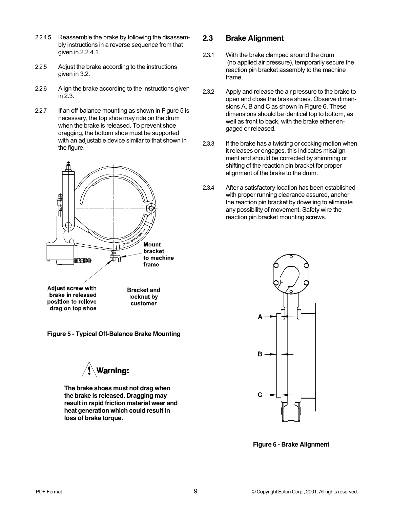- 2.2.4.5 Reassemble the brake by following the disassembly instructions in a reverse sequence from that given in 2.2.4.1.
- 2.2.5 Adjust the brake according to the instructions given in 3.2.
- 2.2.6 Align the brake according to the instructions given in 2.3.
- 2.2.7 If an off-balance mounting as shown in Figure 5 is necessary, the top shoe may ride on the drum when the brake is released. To prevent shoe dragging, the bottom shoe must be supported with an adjustable device similar to that shown in the figure.



**Figure 5 - Typical Off-Balance Brake Mounting**



**The brake shoes must not drag when the brake is released. Dragging may result in rapid friction material wear and heat generation which could result in loss of brake torque.**

#### **2.3 Brake Alignment**

- 2.3.1 With the brake clamped around the drum (no applied air pressure), temporarily secure the reaction pin bracket assembly to the machine frame.
- 2.3.2 Apply and release the air pressure to the brake to open and close the brake shoes. Observe dimensions A, B and C as shown in Figure 6. These dimensions should be identical top to bottom, as well as front to back, with the brake either engaged or released.
- 2.3.3 If the brake has a twisting or cocking motion when it releases or engages, this indicates misalignment and should be corrected by shimming or shifting of the reaction pin bracket for proper alignment of the brake to the drum.
- 2.3.4 After a satisfactory location has been established with proper running clearance assured, anchor the reaction pin bracket by doweling to eliminate any possibility of movement. Safety wire the reaction pin bracket mounting screws.



**Figure 6 - Brake Alignment**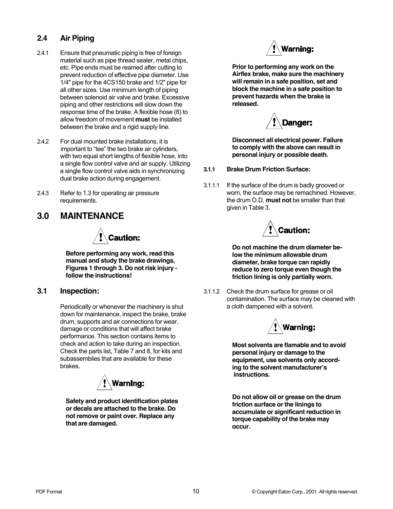#### **2.4 Air Piping**

- 2.4.1 Ensure that pneumatic piping is free of foreign material such as pipe thread sealer, metal chips, etc. Pipe ends must be reamed after cutting to prevent reduction of effective pipe diameter. Use 1/4" pipe for the 4CS150 brake and 1/2" pipe for all other sizes. Use minimum length of piping between solenoid air valve and brake. Excessive piping and other restrictions will slow down the response time of the brake. A flexible hose (8) to allow freedom of movement **must** be installed between the brake and a rigid supply line.
- 2.4.2 For dual mounted brake installations, it is important to "tee" the two brake air cylinders, with two equal short lengths of flexible hose, into a single flow control valve and air supply. Utilizing a single flow control valve aids in synchronizing dual brake action during engagement.
- 2.4.3 Refer to 1.3 for operating air pressure requirements.

# **3.0 MAINTENANCE**



**Before performing any work, read this manual and study the brake drawings, Figures 1 through 3. Do not risk injury follow the instructions!**

#### **3.1 Inspection:**

Periodically or whenever the machinery is shut down for maintenance, inspect the brake, brake drum, supports and air connections for wear, damage or conditions that will affect brake performance. This section contains items to check and action to take during an inspection. Check the parts list, Table 7 and 8, for kits and subassemblies that are available for these brakes.



**Safety and product identification plates or decals are attached to the brake. Do not remove or paint over. Replace any that are damaged.**



**Prior to performing any work on the Airflex brake, make sure the machinery will remain in a safe position, set and block the machine in a safe position to prevent hazards when the brake is released.**



**Disconnect all electrical power. Failure to comply with the above can result in personal injury or possible death.**

- **3.1.1 Brake Drum Friction Surface:**
- 3.1.1.1 If the surface of the drum is badly grooved or worn, the surface may be remachined. However, the drum O.D. **must not** be smaller than that given in Table 3.



**Do not machine the drum diameter below the minimum allowable drum diameter, brake torque can rapidly reduce to zero torque even though the friction lining is only partially worn.**

3.1.1.2 Check the drum surface for grease or oil contamination. The surface may be cleaned with a cloth dampened with a solvent.



**Most solvents are flamable and to avoid personal injury or damage to the equipment, use solvents only according to the solvent manufacturer's instructions.**

**Do not allow oil or grease on the drum friction surface or the linings to accumulate or significant reduction in torque capability of the brake may occur.**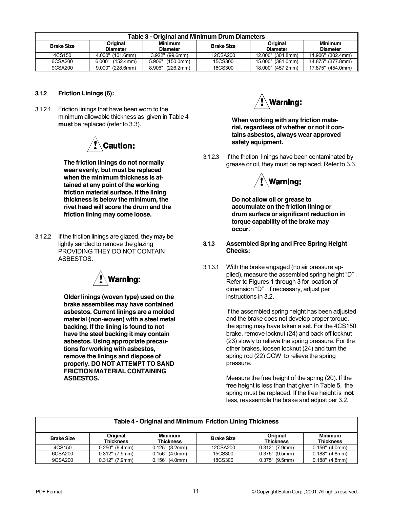|                   |                             | Table 3 - Original and Minimum Drum Diameters |                   |                             |                                   |
|-------------------|-----------------------------|-----------------------------------------------|-------------------|-----------------------------|-----------------------------------|
| <b>Brake Size</b> | Original<br><b>Diameter</b> | <b>Minimum</b><br><b>Diameter</b>             | <b>Brake Size</b> | Original<br><b>Diameter</b> | <b>Minimum</b><br><b>Diameter</b> |
| 4CS150            | 4.000" (101.6mm)            | $3.922"$ (99.6mm)                             | 12CSA200          | 12.000" (304.8mm)           | 11.906" (302.4mm)                 |
| 6CSA200           | (152.4mm)<br>6.000"         | (150.0mm)<br>5.906"                           | 15CS300           | 15.000" (381.0mm)           | 14.875" (377.8mm)                 |
| 9CSA200           | $9.000"$ (228.6mm)          | 8.906"<br>(226.2mm)                           | 18CS300           | 18.000" (457.2mm)           | 17.875" (454.0mm)                 |

#### **3.1.2 Friction Linings (6):**

3.1.2.1 Friction linings that have been worn to the minimum allowable thickness as given in Table 4 **must** be replaced (refer to 3.3).



**The friction linings do not normally wear evenly, but must be replaced when the minimum thickness is attained at any point of the working friction material surface. If the lining thickness is below the minimum, the rivet head will score the drum and the friction lining may come loose.**

3.1.2.2 If the friction linings are glazed, they may be lightly sanded to remove the glazing PROVIDING THEY DO NOT CONTAIN ASBESTOS.



**Older linings (woven type) used on the brake assemblies may have contained asbestos. Current linings are a molded material (non-woven) with a steel metal backing. If the lining is found to not have the steel backing it may contain asbestos. Using appropriate precautions for working with asbestos, remove the linings and dispose of properly. DO NOT ATTEMPT TO SAND FRICTION MATERIAL CONTAINING ASBESTOS.**



**When working with any friction material, regardless of whether or not it contains asbestos, always wear approved safety equipment.**

3.1.2.3 If the friction linings have been contaminated by grease or oil, they must be replaced. Refer to 3.3.



**Do not allow oil or grease to accumulate on the friction lining or drum surface or significant reduction in torque capability of the brake may occur.**

- **3.1.3 Assembled Spring and Free Spring Height Checks:**
- 3.1.3.1 With the brake engaged (no air pressure applied), measure the assembled spring height "D" . Refer to Figures 1 through 3 for location of dimension "D" . If necessary, adjust per instructions in 3.2.

If the assembled spring height has been adjusted and the brake does not develop proper torque, the spring may have taken a set. For the 4CS150 brake, remove locknut (24) and back off locknut (23) slowly to relieve the spring pressure. For the other brakes, loosen locknut (24) and turn the spring rod (22) CCW to relieve the spring pressure.

Measure the free height of the spring (20). If the free height is less than that given in Table 5, the spring must be replaced. If the free height is **not** less, reassemble the brake and adjust per 3.2.

|                   |                              | Table 4 - Original and Minimum Friction Lining Thickness |                   |                              |                                    |
|-------------------|------------------------------|----------------------------------------------------------|-------------------|------------------------------|------------------------------------|
| <b>Brake Size</b> | Original<br><b>Thickness</b> | <b>Minimum</b><br>Thickness                              | <b>Brake Size</b> | Original<br><b>Thickness</b> | <b>Minimum</b><br><b>Thickness</b> |
| 4CS150            | $0.250$ " (6.4mm)            | $0.125"$ (3.2mm)                                         | 12CSA200          | $0.312"$ (7.9mm)             | $0.156"$ (4.0mm)                   |
| 6CSA200           | $0.312"$ (7.9mm)             | $0.156"$ (4.0mm)                                         | 15CS300           | $0.375$ " (9.5mm)            | $0.188"$ (4.8mm)                   |
| 9CSA200           | $0.312"$ (7.9mm)             | $0.156"$ (4.0mm)                                         | 18CS300           | $0.375$ " (9.5mm)            | $0.188"$ (4.8mm)                   |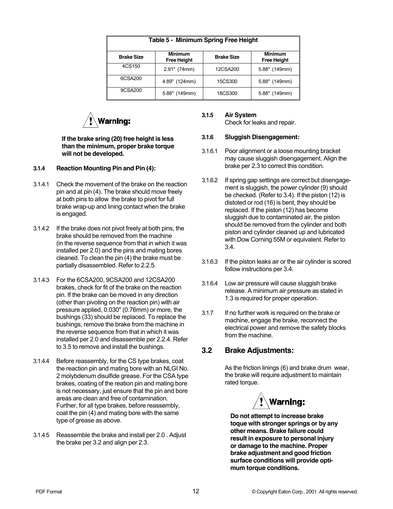|                   | Table 5 - Minimum Spring Free Height |                   |                                      |
|-------------------|--------------------------------------|-------------------|--------------------------------------|
| <b>Brake Size</b> | <b>Minimum</b><br><b>Free Height</b> | <b>Brake Size</b> | <b>Minimum</b><br><b>Free Height</b> |
| 4CS150            | $2.91"$ (74mm)                       | 12CSA200          | 5.88" (149mm)                        |
| 6CSA200           | 4.89" (124mm)                        | 15CS300           | 5.88" (149mm)                        |
| 9CSA200           | 5.88" (149mm)                        | 18CS300           | 5.88" (149mm)                        |



**If the brake sring (20) free height is less than the minimum, proper brake torque will not be developed.**

- **3.1.4 Reaction Mounting Pin and Pin (4):**
- 3.1.4.1 Check the movement of the brake on the reaction pin and at pin (4). The brake should move freely at both pins to allow the brake to pivot for full brake wrap-up and lining contact when the brake is engaged.
- 3.1.4.2 If the brake does not pivot freely at both pins, the brake should be removed from the machine (in the reverse sequence from that in which it was installed per 2.0) and the pins and mating bores cleaned. To clean the pin (4) the brake must be partially disassembled. Refer to 2.2.5.
- 3.1.4.3 For the 6CSA200, 9CSA200 and 12CSA200 brakes, check for fit of the brake on the reaction pin. If the brake can be moved in any direction (other than pivoting on the reaction pin) with air pressure applied, 0.030" (0.76mm) or more, the bushings (33) should be replaced. To replace the bushings, remove the brake from the machine in the reverse sequence from that in which it was installed per 2.0 and disassemble per 2.2.4. Refer to 3.5 to remove and install the bushings.
- 3.1.4.4 Before reassembly, for the CS type brakes, coat the reaction pin and mating bore with an NLGI No. 2 molybdenum disulfide grease. For the CSA type brakes, coating of the reation pin and mating bore is not necessary, just ensure that the pin and bore areas are clean and free of contamination. Further, for all type brakes, before reassembly, coat the pin (4) and mating bore with the same type of grease as above.
- 3.1.4.5 Reassemble the brake and install per 2.0 . Adjust the brake per 3.2 and align per 2.3.

#### **3.1.5 Air System** Check for leaks and repair.

#### **3.1.6 Sluggish Disengagement:**

- 3.1.6.1 Poor alignment or a loose mounting bracket may cause sluggish disengagement. Align the brake per 2.3 to correct this condition.
- 3.1.6.2 If spring gap settings are correct but disengagement is sluggish, the power cylinder (9) should be checked. (Refer to 3.4). If the piston (12) is distoted or rod (16) is bent, they should be replaced. If the piston (12) has become sluggish due to contaminated air, the piston should be removed from the cylinder and both piston and cylinder cleaned up and lubricated with Dow Corning 55M or equivalent. Refer to 3.4.
- 3.1.6.3 If the piston leaks air or the air cylinder is scored follow instructions per 3.4.
- 3.1.6.4 Low air pressure will cause sluggish brake release. A minimum air pressure as stated in 1.3 is required for proper operation.
- 3.1.7 If no further work is required on the brake or machine, engage the brake, reconnect the electrical power and remove the safety blocks from the machine.

#### **3.2 Brake Adjustments:**

As the friction linings (6) and brake drum wear, the brake will require adjustment to maintain rated torque.



**Do not attempt to increase brake toque with stronger springs or by any other means. Brake failure could result in exposure to personal injury or damage to the machine. Proper brake adjustment and good friction surface conditions will provide optimum torque conditions.**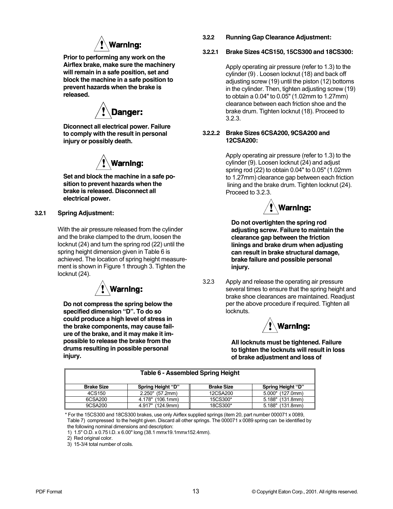

**Prior to performing any work on the Airflex brake, make sure the machinery will remain in a safe position, set and block the machine in a safe position to prevent hazards when the brake is released.**

**Danger:** 

**Diconnect all electrical power. Failure to comply with the result in personal injury or possibly death.**



**Set and block the machine in a safe position to prevent hazards when the brake is released. Disconnect all electrical power.**

#### **3.2.1 Spring Adjustment:**

With the air pressure released from the cylinder and the brake clamped to the drum, loosen the locknut (24) and turn the spring rod (22) until the spring height dimension given in Table 6 is achieved. The location of spring height measurement is shown in Figure 1 through 3. Tighten the locknut (24).



**Do not compress the spring below the specified dimension "D". To do so could produce a high level of stress in the brake components, may cause failure of the brake, and it may make it impossible to release the brake from the drums resulting in possible personal injury.**

**3.2.2 Running Gap Clearance Adjustment:**

#### **3.2.2.1 Brake Sizes 4CS150, 15CS300 and 18CS300:**

Apply operating air pressure (refer to 1.3) to the cylinder (9) . Loosen locknut (18) and back off adjusting screw (19) until the piston (12) bottoms in the cylinder. Then, tighten adjusting screw (19) to obtain a 0.04" to 0.05" (1.02mm to 1.27mm) clearance between each friction shoe and the brake drum. Tighten locknut (18). Proceed to 3.2.3.

#### **3.2.2..2 Brake Sizes 6CSA200, 9CSA200 and 12CSA200:**

Apply operating air pressure (refer to 1.3) to the cylinder (9). Loosen locknut (24) and adjust spring rod (22) to obtain 0.04" to 0.05" (1.02mm to 1.27mm) clearance gap between each friction lining and the brake drum. Tighten locknut (24). Proceed to 3.2.3.



**Do not overtighten the spring rod adjusting screw. Failure to maintain the clearance gap between the friction linings and brake drum when adjusting can result in brake structural damage, brake failure and possible personal injury.**

3.2.3 Apply and release the operating air pressure several times to ensure that the spring height and brake shoe clearances are maintained. Readjust per the above procedure if required. Tighten all locknuts.



**All locknuts must be tightened. Failure to tighten the locknuts will result in loss of brake adjustment and loss of**

|                   | Table 6 - Assembled Spring Height |                   |                     |
|-------------------|-----------------------------------|-------------------|---------------------|
| <b>Brake Size</b> | Spring Height "D"                 | <b>Brake Size</b> | Spring Height "D"   |
| 4CS150            | 2.250" (57.2mm)                   | 12CSA200          | 5.000" (127.0mm)    |
| 6CSA200           | 4.178" (106.1mm)                  | 15CS300*          | 5.188"<br>(131.8mm) |
| 9CSA200           | 4.917"<br>(124.9mm)               | 18CS300*          | 5.188"<br>(131.8mm) |

\* For the 15CS300 and 18CS300 brakes, use only Airflex supplied springs (item 20, part number 000071 x 0089, Table 7) compressed to the height given. Discard all other springs. The 000071 x 0089 spring can be identified by the following nominal dimensions and description:

1) 1.5" O.D. x 0.75 I.D. x 6.00" long (38.1 mmx19.1mmx152.4mm).

2) Red original color.

3) 15-3/4 total number of coils.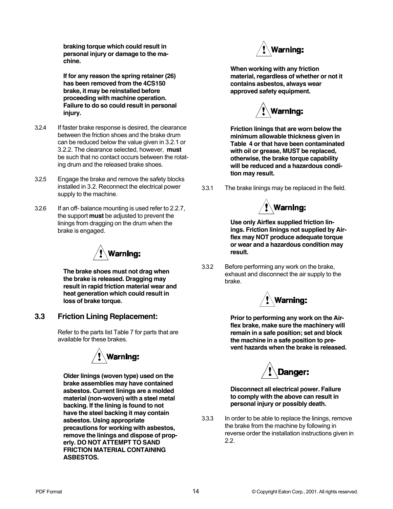**braking torque which could result in personal injury or damage to the machine.**

**If for any reason the spring retainer (26) has been removed from the 4CS150 brake, it may be reinstalled before proceeding with machine operation. Failure to do so could result in personal injury.**

- 3.2.4 If faster brake response is desired, the clearance between the friction shoes and the brake drum can be reduced below the value given in 3.2.1 or 3.2.2. The clearance selected, however, **must** be such that no contact occurs between the rotating drum and the released brake shoes.
- 3.2.5 Engage the brake and remove the safety blocks installed in 3.2. Reconnect the electrical power supply to the machine.
- 3.2.6 If an off- balance mounting is used refer to 2.2.7, the support **must** be adjusted to prevent the linings from dragging on the drum when the brake is engaged.



**The brake shoes must not drag when the brake is released. Dragging may result in rapid friction material wear and heat generation which could result in loss of brake torque.**

#### **3.3 Friction Lining Replacement:**

Refer to the parts list Table 7 for parts that are available for these brakes.



**Older linings (woven type) used on the brake assemblies may have contained asbestos. Current linings are a molded material (non-woven) with a steel metal backing. If the lining is found to not have the steel backing it may contain asbestos. Using appropriate precautions for working with asbestos, remove the linings and dispose of properly. DO NOT ATTEMPT TO SAND FRICTION MATERIAL CONTAINING ASBESTOS.**



**When working with any friction material, regardless of whether or not it contains asbestos, always wear approved safety equipment.**



**Friction linings that are worn below the minimum allowable thickness given in Table 4 or that have been contaminated with oil or grease, MUST be replaced, otherwise, the brake torque capability will be reduced and a hazardous condition may result.**

3.3.1 The brake linings may be replaced in the field.



**Use only Airflex supplied friction linings. Friction linings not supplied by Airflex may NOT produce adequate torque or wear and a hazardous condition may result.**

3.3.2 Before performing any work on the brake, exhaust and disconnect the air supply to the brake.



**Prior to performing any work on the Airflex brake, make sure the machinery will remain in a safe position; set and block the machine in a safe position to prevent hazards when the brake is released.**



**Disconnect all electrical power. Failure to comply with the above can result in personal injury or possibly death.**

3.3.3 In order to be able to replace the linings, remove the brake from the machine by following in reverse order the installation instructions given in 2.2.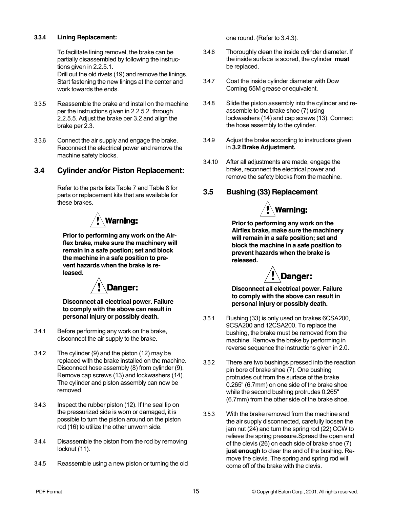#### **3.3.4 Lining Replacement:**

To facilitate lining removel, the brake can be partially disassembled by following the instructions given in 2.2.5.1.

Drill out the old rivets (19) and remove the linings. Start fastening the new linings at the center and work towards the ends.

- 3.3.5 Reassemble the brake and install on the machine per the instructions given in 2.2.5.2. through 2.2.5.5. Adjust the brake per 3.2 and align the brake per 2.3.
- 3.3.6 Connect the air supply and engage the brake. Reconnect the electrical power and remove the machine safety blocks.

#### **3.4 Cylinder and/or Piston Replacement:**

Refer to the parts lists Table 7 and Table 8 for parts or replacement kits that are available for these brakes.



**Prior to performing any work on the Airflex brake, make sure the machinery will remain in a safe postion; set and block the machine in a safe position to prevent hazards when the brake is released.**



**Disconnect all electrical power. Failure to comply with the above can result in personal injury or possibly death.**

- 3.4.1 Before performing any work on the brake, disconnect the air supply to the brake.
- 3.4.2 The cylinder (9) and the piston (12) may be replaced with the brake installed on the machine. Disconnect hose assembly (8) from cylinder (9). Remove cap screws (13) and lockwashers (14). The cylinder and piston assembly can now be removed.
- 3.4.3 Inspect the rubber piston (12). If the seal lip on the pressurized side is worn or damaged, it is possible to turn the piston around on the piston rod (16) to utilize the other unworn side.
- 3.4.4 Disassemble the piston from the rod by removing locknut (11).
- 3.4.5 Reassemble using a new piston or turning the old

one round. (Refer to 3.4.3).

- 3.4.6 Thoroughly clean the inside cylinder diameter. If the inside surface is scored, the cylinder **must** be replaced.
- 3.4.7 Coat the inside cylinder diameter with Dow Corning 55M grease or equivalent.
- 3.4.8 Slide the piston assembly into the cylinder and reassemble to the brake shoe (7) using lockwashers (14) and cap screws (13). Connect the hose assembly to the cylinder.
- 3.4.9 Adjust the brake according to instructions given in **3.2 Brake Adjustment.**
- 3.4.10 After all adjustments are made, engage the brake, reconnect the electrical power and remove the safety blocks from the machine.

#### **3.5 Bushing (33) Replacement**



**Prior to performing any work on the Airflex brake, make sure the machinery will remain in a safe position; set and block the machine in a safe position to prevent hazards when the brake is released.**



**Disconnect all electrical power. Failure to comply with the above can result in personal injury or possibly death.**

- 3.5.1 Bushing (33) is only used on brakes 6CSA200, 9CSA200 and 12CSA200. To replace the bushing, the brake must be removed from the machine. Remove the brake by performing in reverse sequence the instructions given in 2.0.
- 3.5.2 There are two bushings pressed into the reaction pin bore of brake shoe (7). One bushing protrudes out from the surface of the brake 0.265" (6.7mm) on one side of the brake shoe while the second bushing protrudes 0.265" (6.7mm) from the other side of the brake shoe.
- 3.5.3 With the brake removed from the machine and the air supply disconnected, carefully loosen the jam nut (24) and turn the spring rod (22) CCW to relieve the spring pressure.Spread the open end of the clevis (26) on each side of brake shoe (7) **just enough** to clear the end of the bushing. Remove the clevis. The spring and spring rod will come off of the brake with the clevis.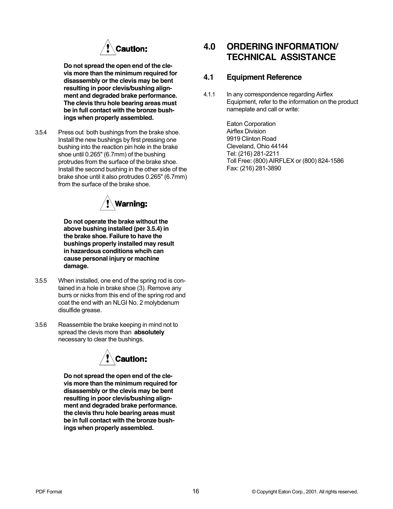

**Do not spread the open end of the clevis more than the minimum required for disassembly or the clevis may be bent resulting in poor clevis/bushing alignment and degraded brake performance. The clevis thru hole bearing areas must be in full contact with the bronze bushings when properly assembled.**

3.5.4 Press out both bushings from the brake shoe. Install the new bushings by first pressing one bushing into the reaction pin hole in the brake shoe until 0.265" (6.7mm) of the bushing protrudes from the surface of the brake shoe. Install the second bushing in the other side of the brake shoe until it also protrudes 0.265" (6.7mm) from the surface of the brake shoe.



**Do not operate the brake without the above bushing installed (per 3.5.4) in the brake shoe. Failure to have the bushings properly installed may result in hazardous conditions whcih can cause personal injury or machine damage.**

- 3.5.5 When installed, one end of the spring rod is contained in a hole in brake shoe (3). Remove any burrs or nicks from this end of the spring rod and coat the end with an NLGI No. 2 molybdenum disulfide grease.
- 3.5.6 Reassemble the brake keeping in mind not to spread the clevis more than **absolutely** necessary to clear the bushings.



**Do not spread the open end of the clevis more than the minimum required for disassembly or the clevis may be bent resulting in poor clevis/bushing alignment and degraded brake performance. the clevis thru hole bearing areas must be in full contact with the bronze bushings when properly assembled.**

# **4.0 ORDERING INFORMATION/ TECHNICAL ASSISTANCE**

#### **4.1 Equipment Reference**

4.1.1 In any correspondence regarding Airflex Equipment, refer to the information on the product nameplate and call or write:

> Eaton Corporation Airflex Division 9919 Clinton Road Cleveland, Ohio 44144 Tel: (216) 281-2211 Toll Free: (800) AIRFLEX or (800) 824-1586 Fax: (216) 281-3890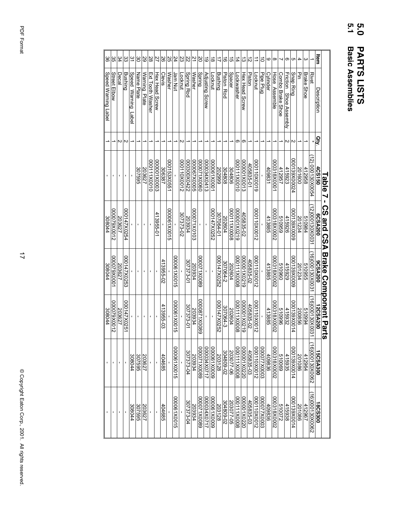# **5.0 5.1 PARTS LISTS<br>Basic Assemblies Basic Assemblies PARTS LISTS**

|                |                        |     | Table 7         | í,<br><b>ASS dna SSA</b> | <b>Brake Conport Par</b> | ິທ                 |                 |                      |
|----------------|------------------------|-----|-----------------|--------------------------|--------------------------|--------------------|-----------------|----------------------|
| ltem           | Description            | gry | <b>4CS150</b>   | 6CSA200                  | 9CSA200                  | <b>2CSA200</b>     | 5CSA300         | 18CS300              |
|                | <b>Rivet</b>           |     | 12) 000130X0054 | 12)000130X0031           | 16)000130X0031           | 6)00130X002        | 16)000130X00022 | 16)000130X0062       |
| ω              | <b>Brake Shoe</b>      |     | 412958          | 510984                   | 510955                   | 510994             | 412964          | 412967               |
| 4              | 꽇                      |     | 201600          | 201234                   | 201234                   | 200856             | 201086          | 201086               |
| c              | Snap Ring              | N   | 000139X00024    | 6000X6£1000              | 6000X6£1000              | 000139X0014        | 000139X0014     | <b>4100X68100014</b> |
| თ              | Friction Shoe Assembly | N   | 415923          | 415926                   | 415929                   | 415932             | 415935          | 415938               |
| ┙              | Combo Brake Shoe       |     | 412957          | 510959                   | 096019                   | 510996             | 510069          | 510072               |
| $^{\circ}$     | Hose Assemble          |     | 000318X80001    | 000318X0002              | 000318X0002              | <b>000318X0002</b> | 2000X8182000    | 2000318X0002         |
| ဖ              | Cylinder               |     | 40983           | 413885                   | 413885                   | 413885             | 409836          | 409836               |
| 0              | Pipe Plug              |     |                 |                          |                          |                    | CO00X270000     | CO00X270000          |
|                | Locknut                |     | 6100X011000     | 2100X011000              | 000110X0012              | 2100X011000        | 21000110000     | 210X011000           |
| $\mathsf{N}$   | <b>Piston</b>          |     | 405835-01       |                          | 405835-02                | 405835-02          | 405835-03       | 405835-03            |
| $\bar{\omega}$ | Hex Head Screw         | თ   | 000001X0013     | 405835-02                | 6120X100000              | 61Z0X100000        | 000001X0220     | 0220X100000          |
| 4              | Lockwasher             | თ   | 000111X0010     | 6120X100000              | 000111X0008              | 8000X111000        | 8000XIII000     | 000111X0008          |
| <b>ຕາ</b>      | <b>Spacer</b>          |     | 304806          | 8000X111000              | 202604                   | 202604             | 203077-06       | 203077-05            |
| ಹ              | <b>Piston Rod</b>      |     | 304808          | 202604                   | 207064-2                 | 307064-3           | 304809-02       | 304809-02            |
|                | <b>Bushing</b>         |     | 666202          | 307064-01                | 000147X0252              | 2920X27X0252       | 203128          | 203128               |
| $\infty$       | Locknut                |     | 000001X0001     | 000147X0252              |                          |                    | 00001X0000      | 6000X190000          |
| ဖ              | <b>Adjusting Screw</b> |     | 000034X0413     |                          |                          |                    | 1710X800000     | Z170X4X0717          |
| 20             | <b>Spring</b>          |     | 0900X1X0000     |                          | 6800X1/0000              | 6800X1780000       | 6800X120000     | 6800X1Z0000          |
| $\overline{z}$ | Washer                 |     | 90002X0005      | <b>000071X0103</b>       | 203934                   | <b>203934</b>      | 203934          | 203934               |
| 22             | <b>Spring Rod</b>      |     | 000300X0422     | 203934                   | 307373-01                | 307373-01          | 307373-04       | 307373-04            |
| 'ಜ             | Locknut                | N   | 000110X0012     | 307373-02                |                          |                    |                 |                      |
| 24             | Jam Nut                |     |                 |                          | 910081X0015              | 910081X0015        | S100X190000     | 9100X190000          |
| ΩŚ             | Washer                 |     | 000153X0551     | 9100X190000              |                          |                    |                 |                      |
| 50             | Clevis                 |     | 306387          |                          | 413955-02                | 413955-03          | 404685          | 404685               |
| 27             | Hex Head Screw         |     | COOOX100000     | 413955-01                |                          |                    |                 |                      |
| 28             | Ext Tooth Washer       |     | 000111X0010     |                          |                          |                    |                 |                      |
| 29             | Warning Plate          |     | 203627          |                          |                          |                    | 203627          | 203627               |
| 80             | Name Plate             |     | 307595          |                          |                          |                    | 307595          | 307595               |
| $\tilde{5}$    | Speed Warning<br>Label |     |                 |                          |                          |                    | 308044          | 308044               |
| ŝ              | <b>Bushing</b>         | N   |                 | 000147X0254              | 000147X0253              | 1200147X0251       |                 |                      |
| 34             | Decal                  | N   |                 | 203627                   | 203627                   | 203627             |                 |                      |
| Sβ             | Street Elbow           |     |                 | 2100X620000              | 1000X620000              | 2100X620000        |                 |                      |
| 88             | Speed Warning Label    |     |                 | 308044                   | 308044                   | 308044             |                 |                      |

 PDF Format PDF Format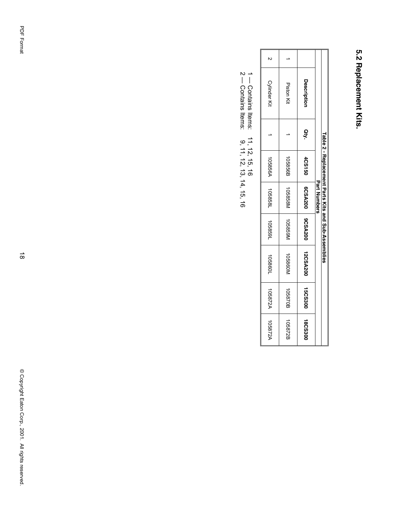# 5.2 Replacement Kits. **5.2 Replacement Kits.**

| Cylinder Kit   | <b>Piston Kit</b> | <b>Description</b>                   |              |                                                     |
|----------------|-------------------|--------------------------------------|--------------|-----------------------------------------------------|
|                |                   | aty.                                 |              |                                                     |
| <b>105856A</b> | 105856B           |                                      |              |                                                     |
| 105858L        | N858501           |                                      | Part Numbers |                                                     |
| 1058591        | N63850N           |                                      |              | Table 2 - Replacement Parts Kits and Sub-Assemblies |
| 1098901        | N098901           | 4CS150   6CSA200   9CSA200   9CSA200 |              |                                                     |
| <b>105872A</b> | 105870B           | 15CS300                              |              |                                                     |
| 105872A        | 105872B           | 18CS300                              |              |                                                     |

 $1 -$  Contains Items:<br> $2 -$  Contains Items: 1 — Contains Items: 11, 12, 15, 16

2 — Contains Items: 9, 11, 12, 13, 14, 16, 16  $11, 12, 15, 16$ <br>
9, 11, 12, 13, 14, 15, 16